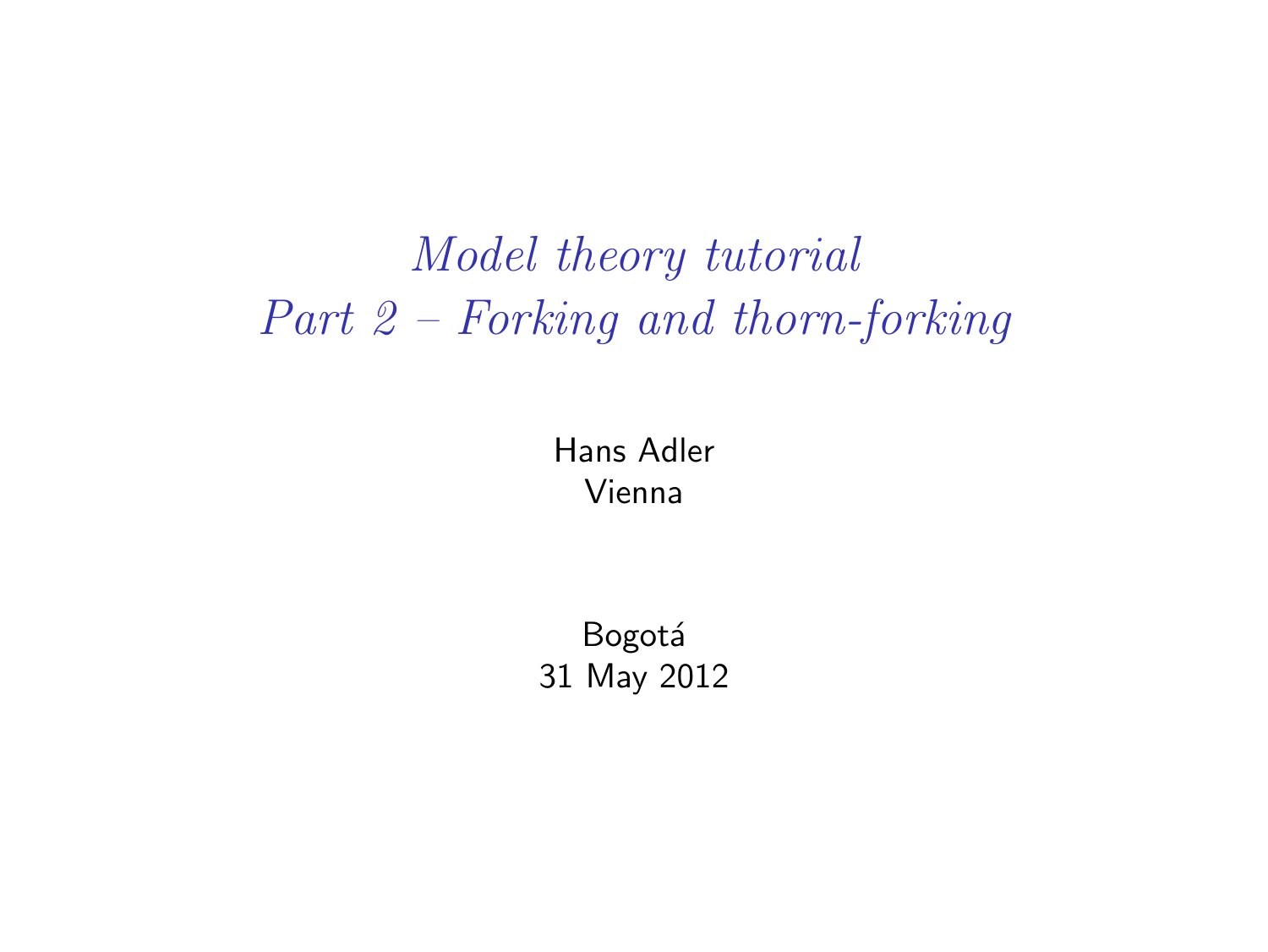## *Model theory tutorial Part 2 – Forking and thorn-forking*

Hans Adler Vienna

**Bogotá** 31 May 2012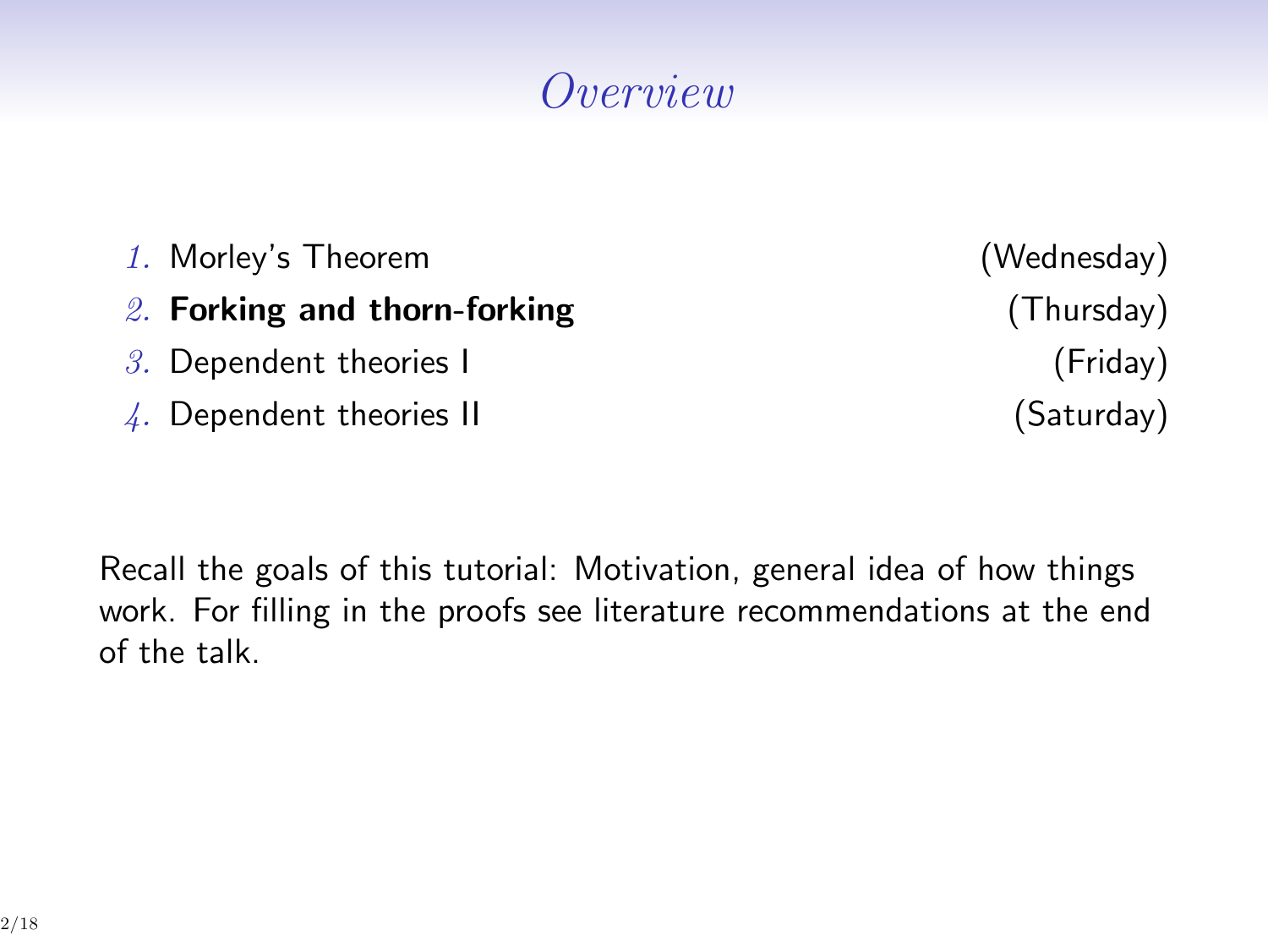## *Overview*

| 1. Morley's Theorem              | (Wednesday) |
|----------------------------------|-------------|
| 2. Forking and thorn-forking     | (Thursday)  |
| $3.$ Dependent theories I        | (Friday)    |
| $\angle$ . Dependent theories II | (Saturday)  |

Recall the goals of this tutorial: Motivation, general idea of how things work. For filling in the proofs see literature recommendations at the end of the talk.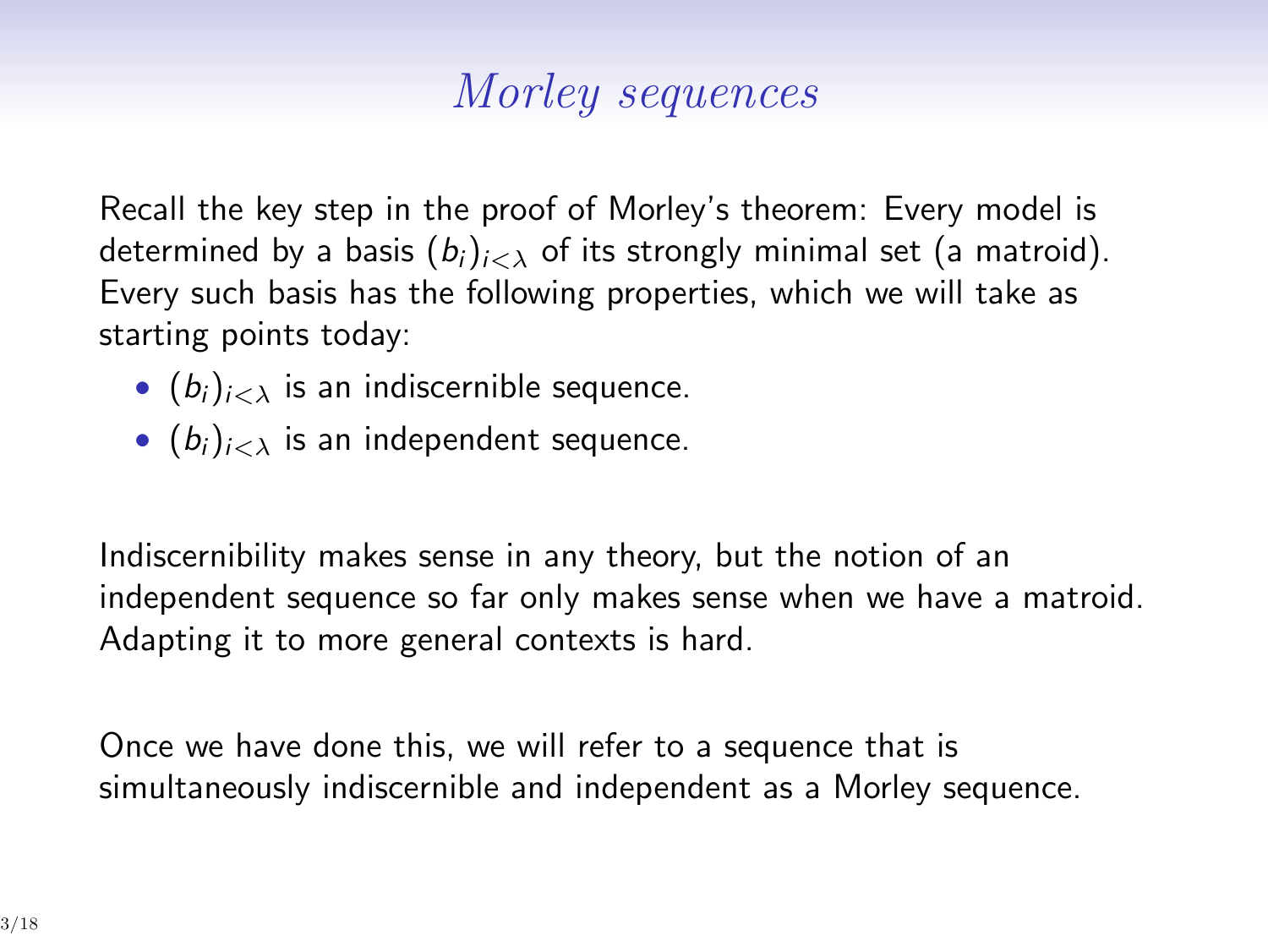## *Morley sequences*

Recall the key step in the proof of Morley's theorem: Every model is determined by a basis  $(b_i)_{i \leq \lambda}$  of its strongly minimal set (a matroid). Every such basis has the following properties, which we will take as starting points today:

- $(b_i)_{i \leq \lambda}$  is an indiscernible sequence.
- $(b_i)_{i \leq \lambda}$  is an independent sequence.

Indiscernibility makes sense in any theory, but the notion of an independent sequence so far only makes sense when we have a matroid. Adapting it to more general contexts is hard.

Once we have done this, we will refer to a sequence that is simultaneously indiscernible and independent as a Morley sequence.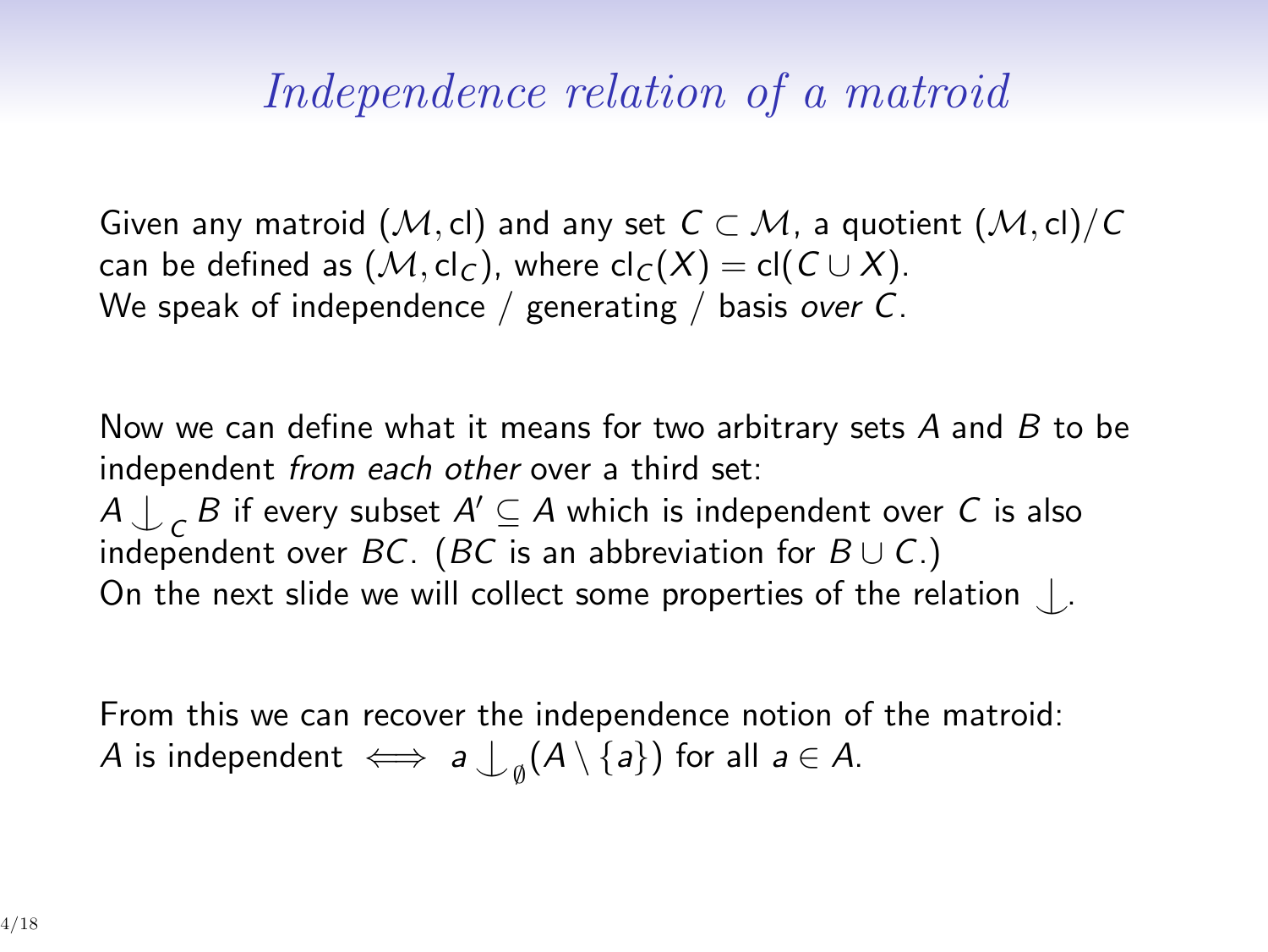#### *Independence relation of a matroid*

Given any matroid  $(M, cl)$  and any set  $C \subset M$ , a quotient  $(M, cl)/C$ can be defined as  $(M, cl_C)$ , where  $cl_C(X) = cl(C \cup X)$ . We speak of independence / generating / basis *over C*.

Now we can define what it means for two arbitrary sets *A* and *B* to be independent *from each other* over a third set: *A*  $\downarrow$  *<sub>C</sub> B* if every subset *A*′ ⊆ *A* which is independent over *C* is also independent over *BC*. (*BC* is an abbreviation for  $B \cup C$ .) On the next slide we will collect some properties of the relation *^|* .

From this we can recover the independence notion of the matroid:  $A$  is independent  $\iff a \bigcup_{\emptyset} (A \setminus \{a\})$  for all  $a \in A$ .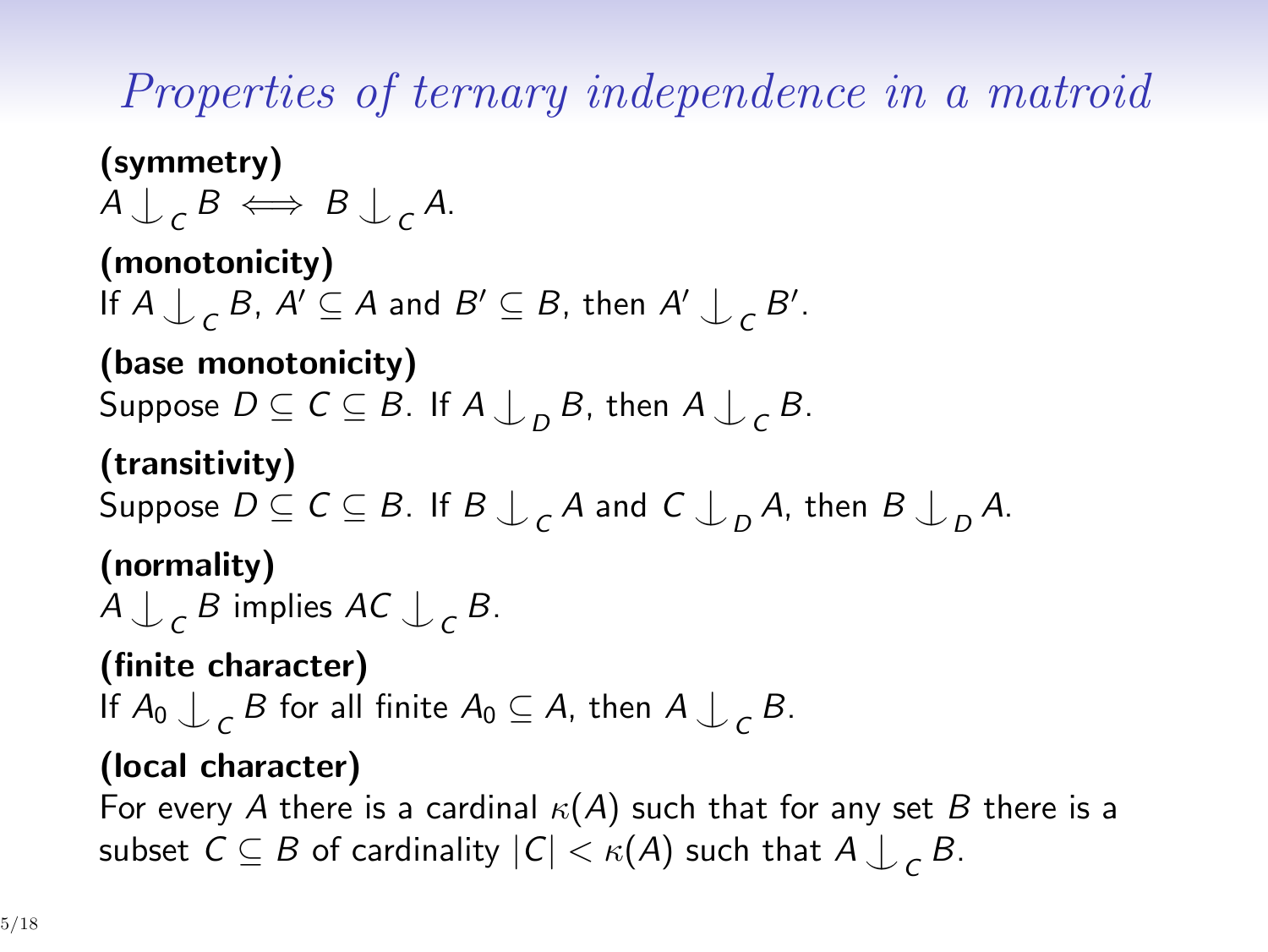*Properties of ternary independence in a matroid*

**(symmetry)**  $A \bigcup c B \iff B \bigcup c A$ . **(monotonicity)** If  $A \bigcup C$  B,  $A' \subseteq A$  and  $B' \subseteq B$ , then  $A' \bigcup C B'$ . **(base monotonicity)**  $\mathsf{Suppose}\ D\subseteq\mathsf{C}\subseteq\mathsf{B}.$  If  $\mathsf{A}\bigcup_{D}\mathsf{B},$  then  $\mathsf{A}\bigcup_{\mathsf{C}}\mathsf{B}.$ **(transitivity)**  $\mathsf{Suppose}\ D \subseteq \mathsf{C} \subseteq \mathsf{B}.$  If  $\mathsf{B} \bigcup_{\mathsf{C}} \mathsf{A}$  and  $\mathsf{C} \bigcup_{\mathsf{D}} \mathsf{A}.$  then  $\mathsf{B} \bigcup_{\mathsf{D}} \mathsf{A}.$ **(normality)**  $A \bigcup c$  *B* implies  $AC \bigcup c$  *B*. **(finite character)** If  $A_0 \bigcup_C B$  for all finite  $A_0 \subseteq A$ , then  $A \bigcup_C B$ . **(local character)**

For every *A* there is a cardinal *κ*(*A*) such that for any set *B* there is a subset  $C \subseteq B$  of cardinality  $|C| < \kappa(A)$  such that  $A \downarrow_C B$ .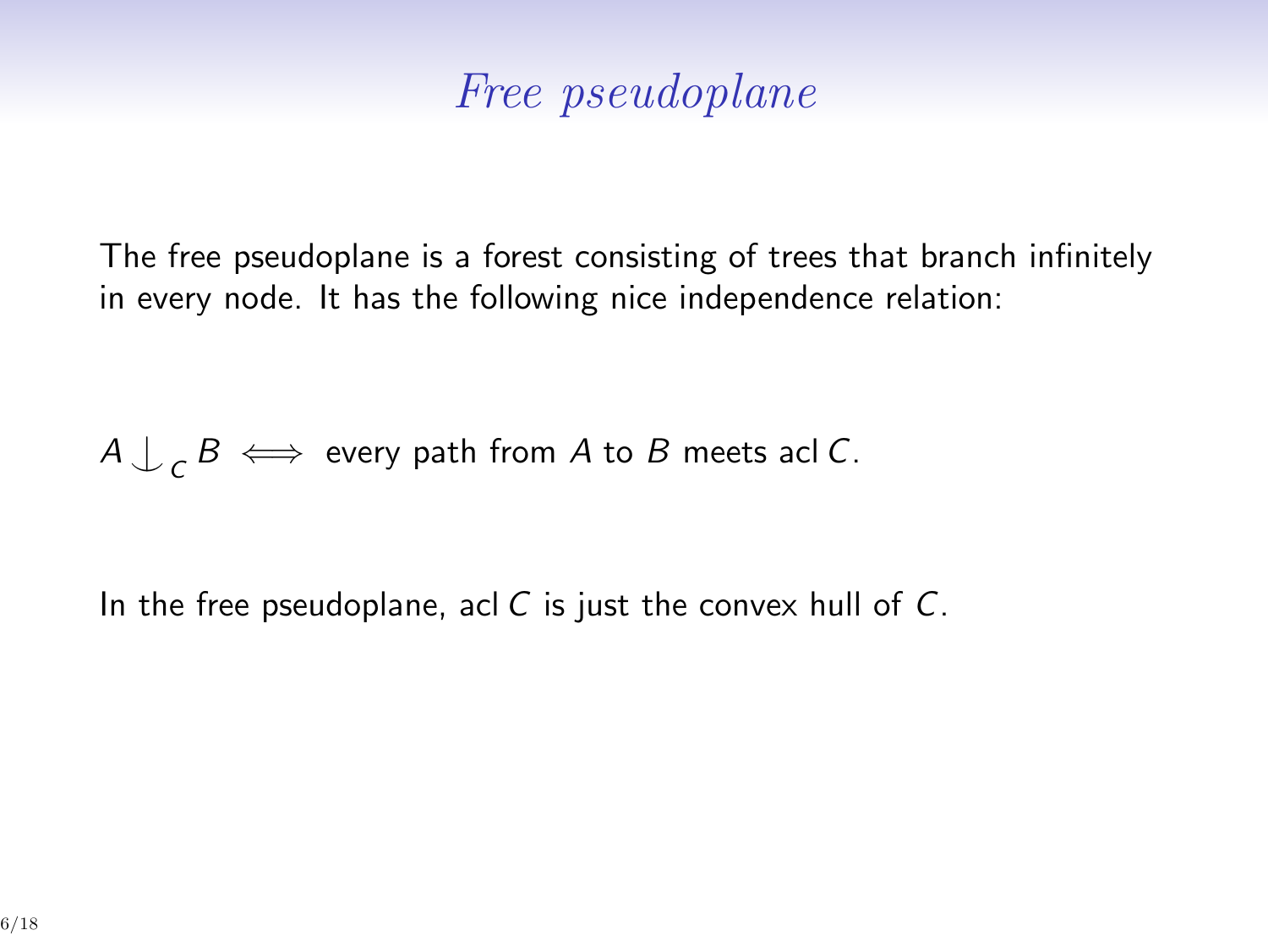### *Free pseudoplane*

The free pseudoplane is a forest consisting of trees that branch infinitely in every node. It has the following nice independence relation:

 $A \bigcup_{\mathcal{C}} B \iff$  every path from  $A$  to  $B$  meets acl  $C$ .

In the free pseudoplane, acl *C* is just the convex hull of *C*.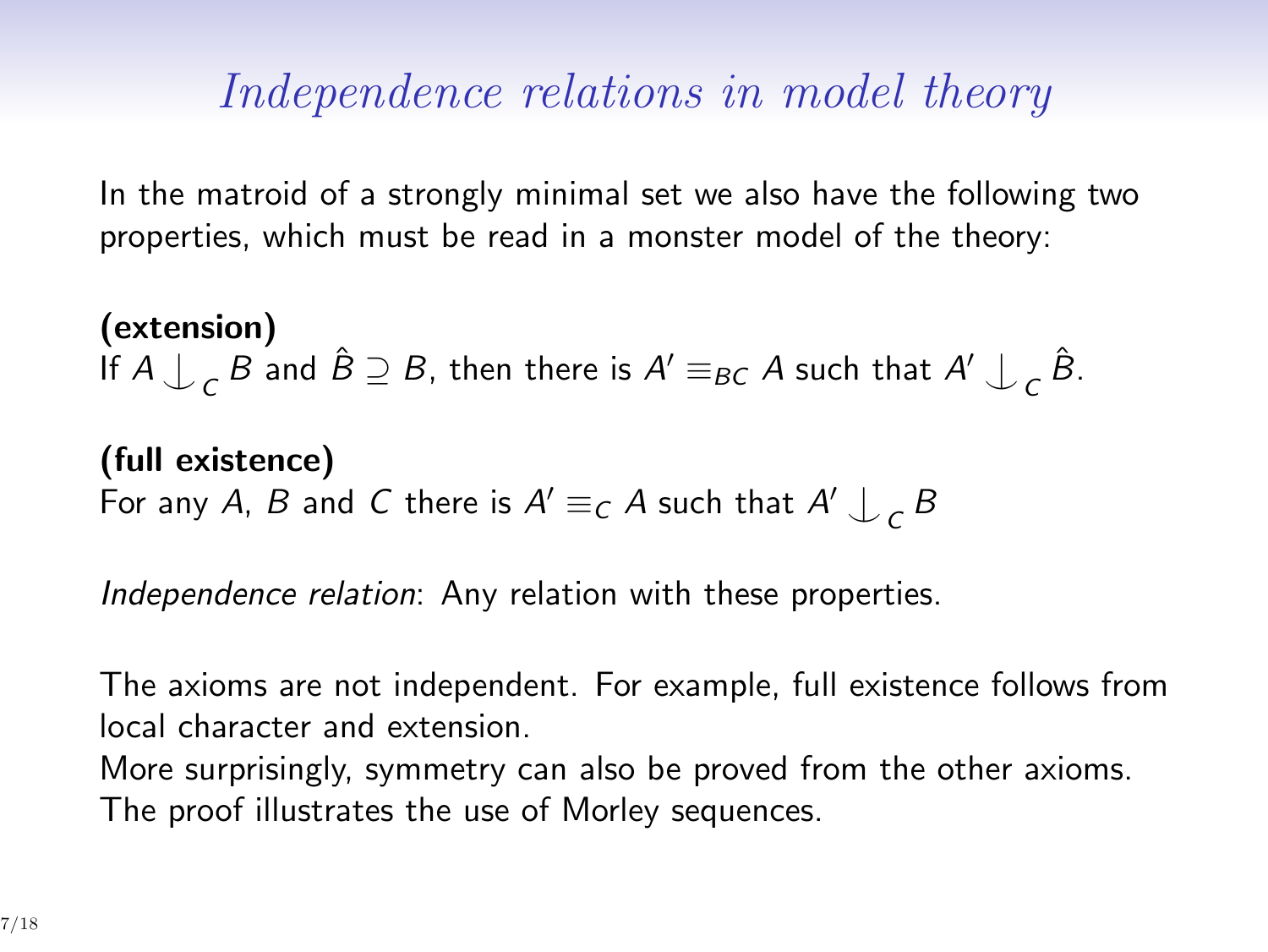## *Independence relations in model theory*

In the matroid of a strongly minimal set we also have the following two properties, which must be read in a monster model of the theory:

**(extension)** If  $A \bigcup c$  *B* and  $\hat{B} \supseteq B$ , then there is  $A' \equiv_{BC} A$  such that  $A' \bigcup_{C} \hat{B}$ .

**(full existence)** For any *A*, *B* and *C* there is  $A' \equiv_C A$  such that  $A' \downarrow_C B$ 

*Independence relation*: Any relation with these properties.

The axioms are not independent. For example, full existence follows from local character and extension. More surprisingly, symmetry can also be proved from the other axioms. The proof illustrates the use of Morley sequences.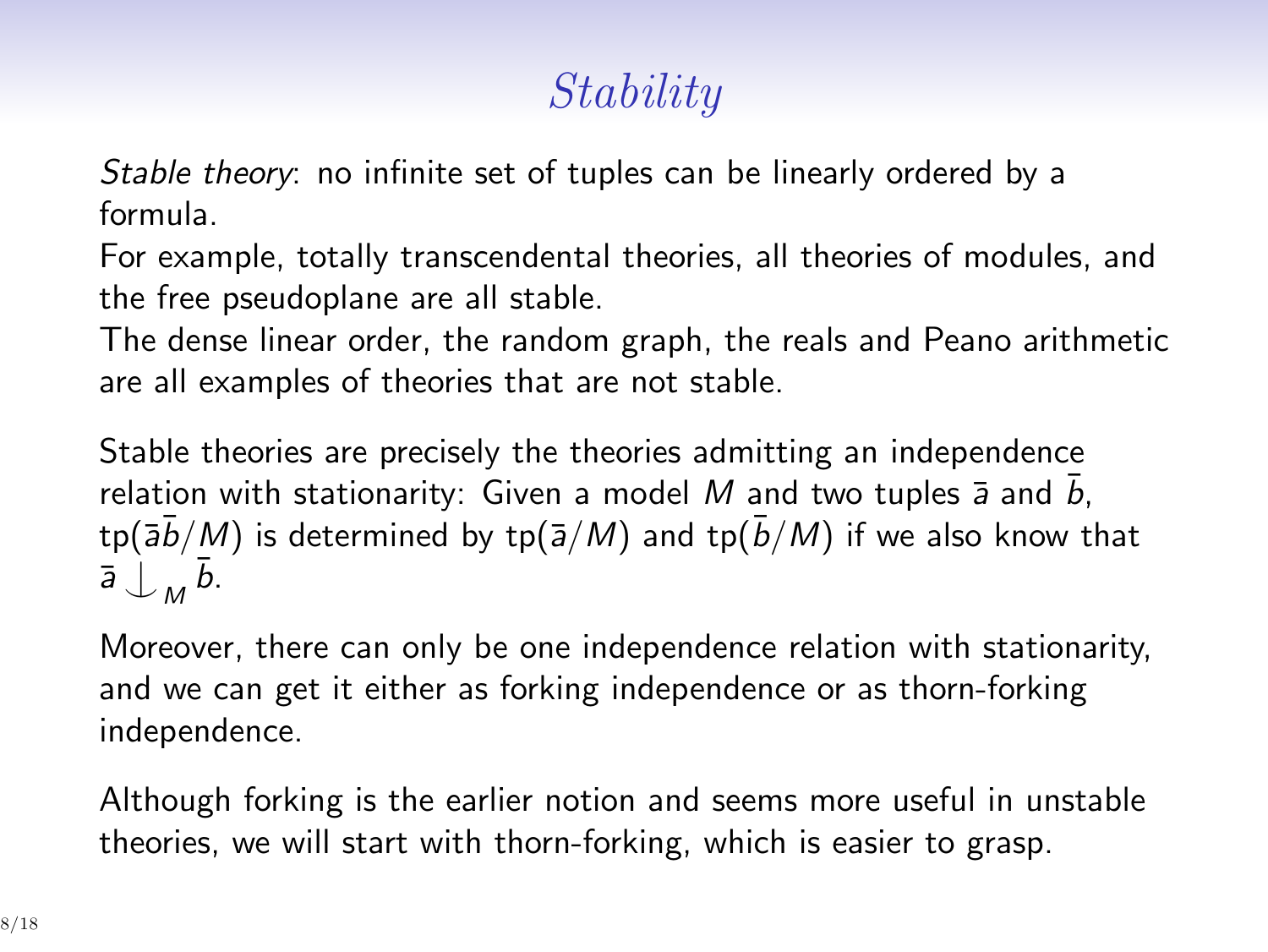# *Stability*

*Stable theory*: no infinite set of tuples can be linearly ordered by a formula.

For example, totally transcendental theories, all theories of modules, and the free pseudoplane are all stable.

The dense linear order, the random graph, the reals and Peano arithmetic are all examples of theories that are not stable.

Stable theories are precisely the theories admitting an independence relation with stationarity: Given a model  $M$  and two tuples  $\bar{a}$  and  $b$ ,  $\frac{\text{tp}(\overline{a}\overline{b}/M)}{\text{is determined by } \text{tp}(\overline{a}/M)}$  and  $\frac{\text{tp}(\overline{b}/M)}{\text{if we also know that}}$  $\overline{a}$   $\overline{\smash{\bigcup_{M}}}\,\overline{b}$ .

Moreover, there can only be one independence relation with stationarity, and we can get it either as forking independence or as thorn-forking independence.

Although forking is the earlier notion and seems more useful in unstable theories, we will start with thorn-forking, which is easier to grasp.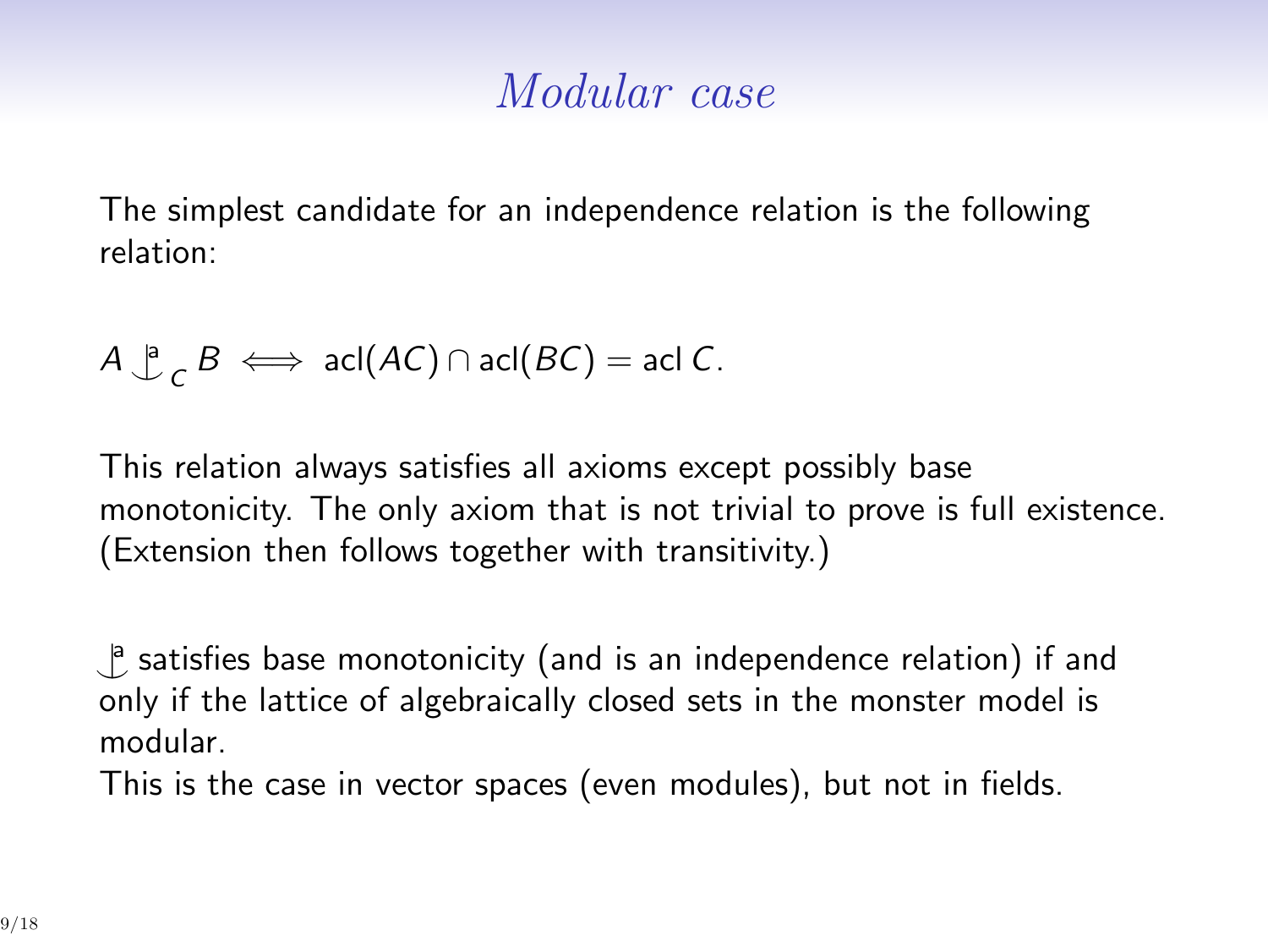#### *Modular case*

The simplest candidate for an independence relation is the following relation:

$$
A \bigcup_{C}^{B} B \iff \text{acl}(AC) \cap \text{acl}(BC) = \text{acl}(C).
$$

This relation always satisfies all axioms except possibly base monotonicity. The only axiom that is not trivial to prove is full existence. (Extension then follows together with transitivity.)

*^|* a satisfies base monotonicity (and is an independence relation) if and only if the lattice of algebraically closed sets in the monster model is modular.

This is the case in vector spaces (even modules), but not in fields.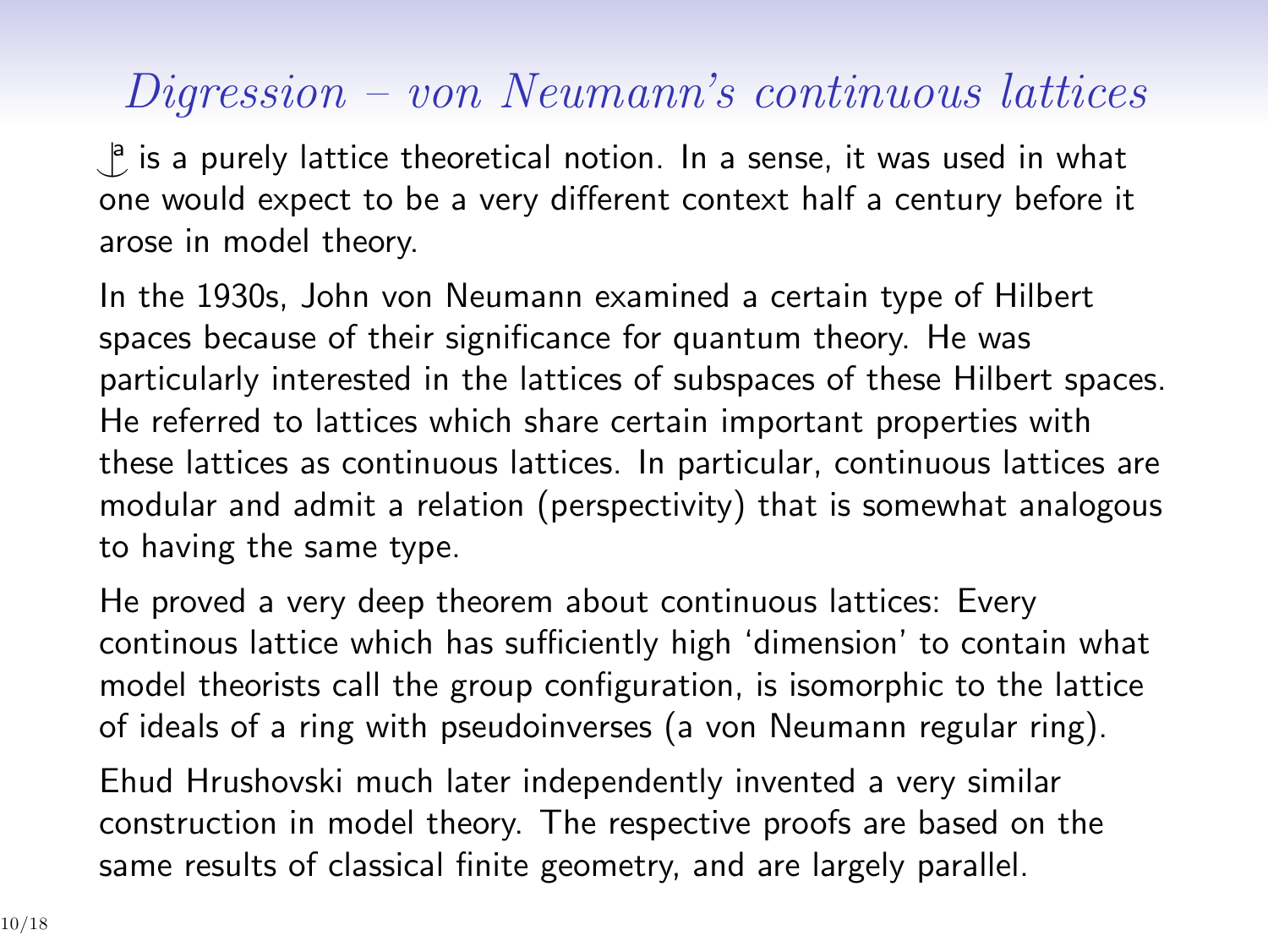### *Digression – von Neumann's continuous lattices*

**<sup>8</sup>** is a purely lattice theoretical notion. In a sense, it was used in what one would expect to be a very different context half a century before it arose in model theory.

In the 1930s, John von Neumann examined a certain type of Hilbert spaces because of their significance for quantum theory. He was particularly interested in the lattices of subspaces of these Hilbert spaces. He referred to lattices which share certain important properties with these lattices as continuous lattices. In particular, continuous lattices are modular and admit a relation (perspectivity) that is somewhat analogous to having the same type.

He proved a very deep theorem about continuous lattices: Every continous lattice which has sufficiently high 'dimension' to contain what model theorists call the group configuration, is isomorphic to the lattice of ideals of a ring with pseudoinverses (a von Neumann regular ring).

Ehud Hrushovski much later independently invented a very similar construction in model theory. The respective proofs are based on the same results of classical finite geometry, and are largely parallel.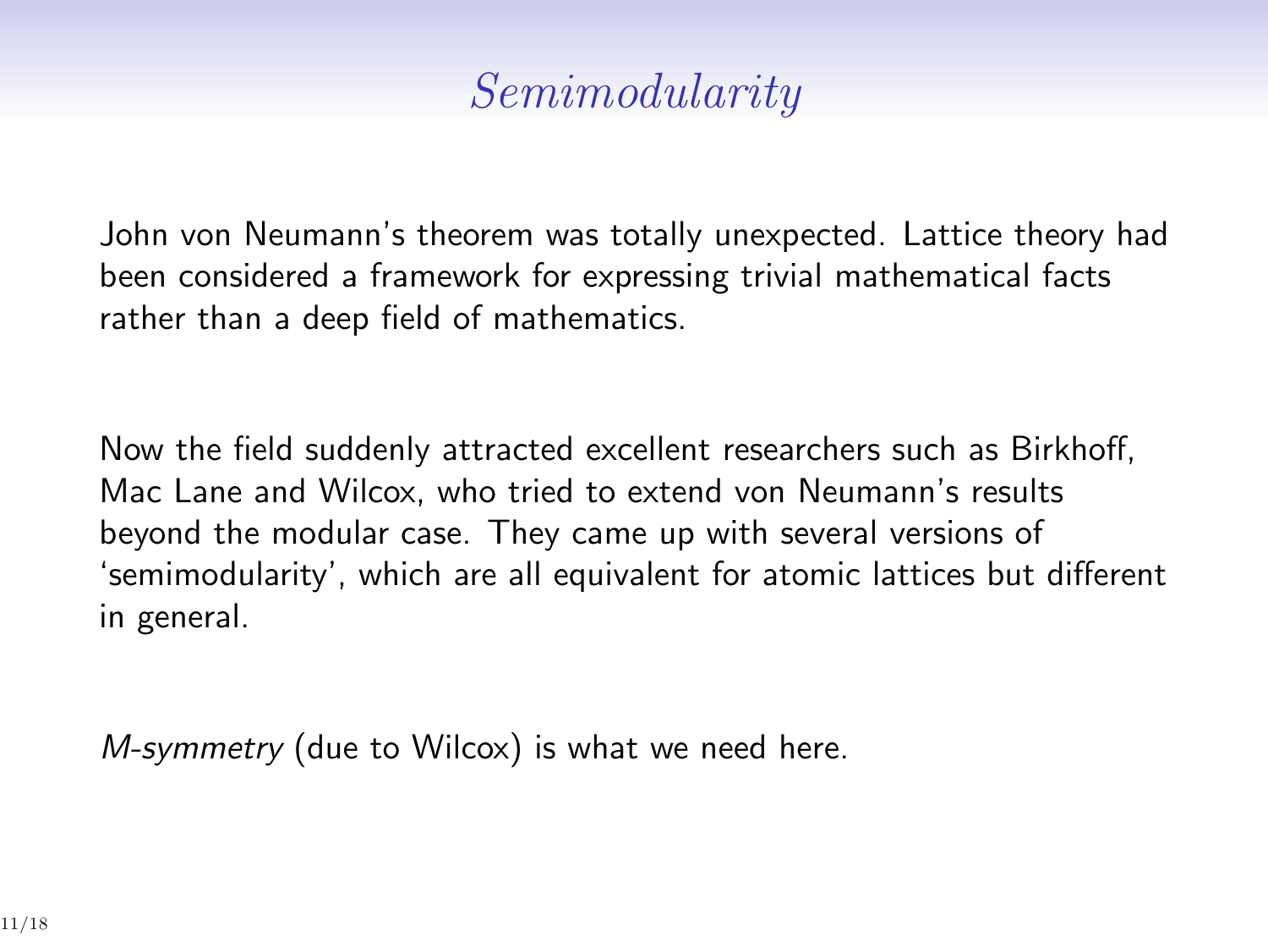### *Semimodularity*

John von Neumann's theorem was totally unexpected. Lattice theory had been considered a framework for expressing trivial mathematical facts rather than a deep field of mathematics.

Now the field suddenly attracted excellent researchers such as Birkhoff, Mac Lane and Wilcox, who tried to extend von Neumann's results beyond the modular case. They came up with several versions of 'semimodularity', which are all equivalent for atomic lattices but different in general.

*M-symmetry* (due to Wilcox) is what we need here.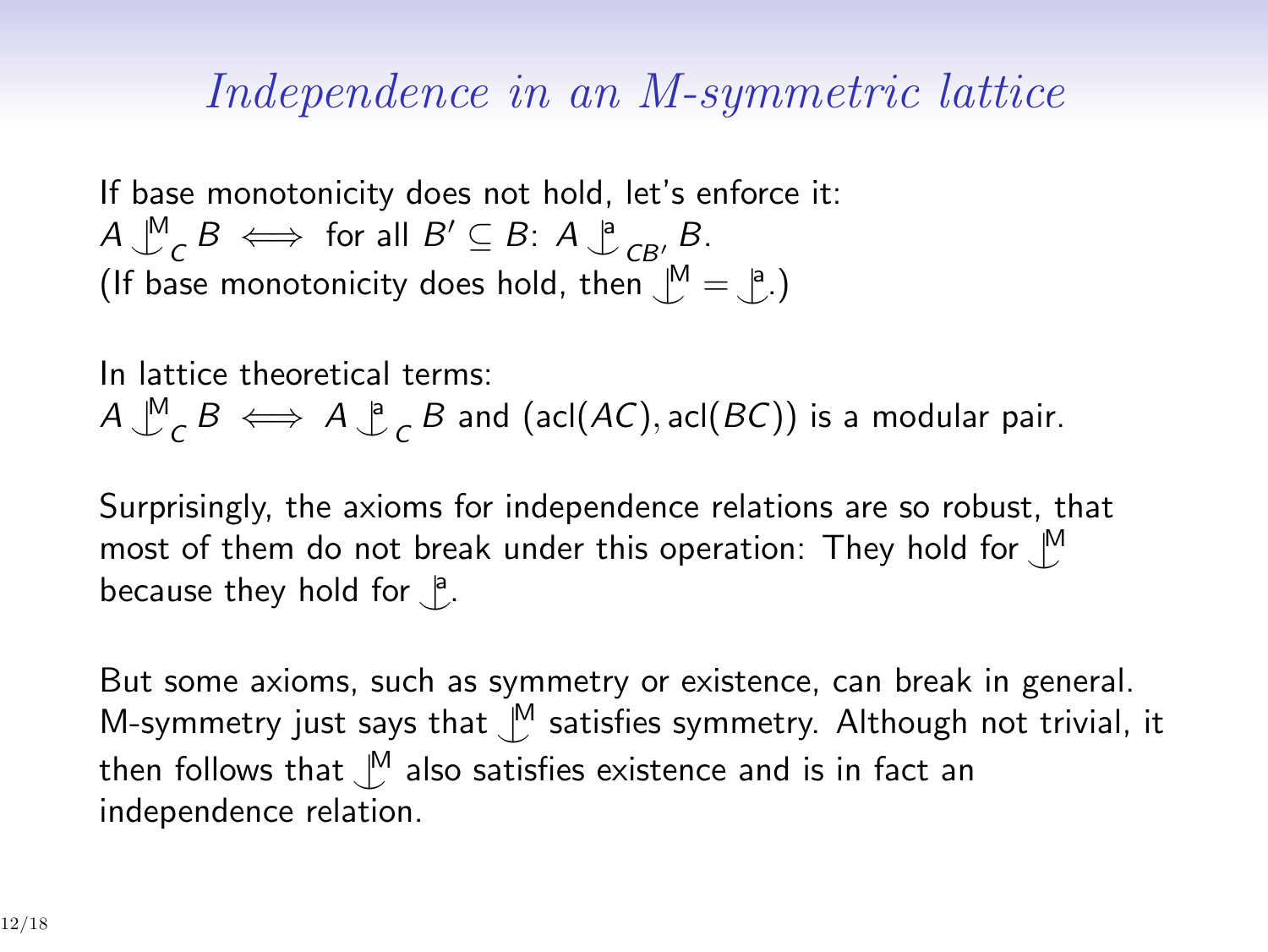#### *Independence in an M-symmetric lattice*

If base monotonicity does not hold, let's enforce it: *A ^|* M  $\mathcal{C}$  *B*  $\iff$  for all  $B' \subseteq B$ :  $A \bigcup_{i=1}^{n} B_i$ . (If base monotonicity does hold, then  $\bigcup^M = \bigcup^a$ .)

In lattice theoretical terms: *A ^|* M  $\sigma$ <sup>*B*</sup>  $\iff$  *A*  $\downarrow$ <sup>*P*</sup>  $\sigma$  *B* and (acl(*AC*), acl(*BC*)) is a modular pair.

Surprisingly, the axioms for independence relations are so robust, that most of them do not break under this operation: They hold for *^|* M because they hold for <u> $^a$ </u>.

But some axioms, such as symmetry or existence, can break in general. M-symmetry just says that  $\bigcup^M$  satisfies symmetry. Although not trivial, it then follows that *^|* <sup>M</sup> also satisfies existence and is in fact an independence relation.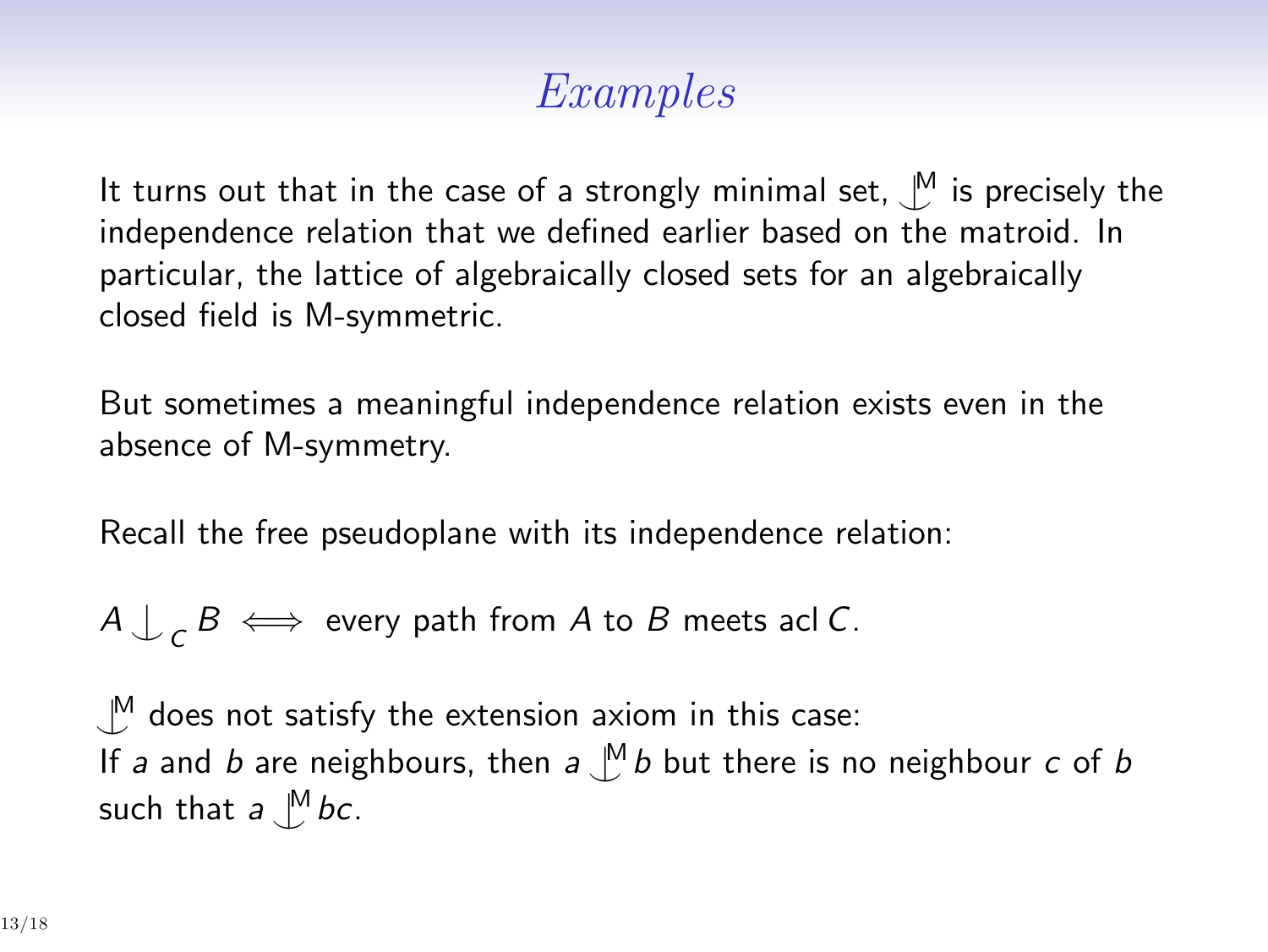## *Examples*

It turns out that in the case of a strongly minimal set, *^|* <sup>M</sup> is precisely the independence relation that we defined earlier based on the matroid. In particular, the lattice of algebraically closed sets for an algebraically closed field is M-symmetric.

But sometimes a meaningful independence relation exists even in the absence of M-symmetry.

Recall the free pseudoplane with its independence relation:

 $A \bigcup_{\mathcal{C}} B \iff$  every path from  $A$  to  $B$  meets acl  $C$ .

*^|* <sup>M</sup> does not satisfy the extension axiom in this case: If *a* and *b* are neighbours, then *a ^|* <sup>M</sup> *b* but there is no neighbour *c* of *b* such that  $a \bigcup^M bc$ .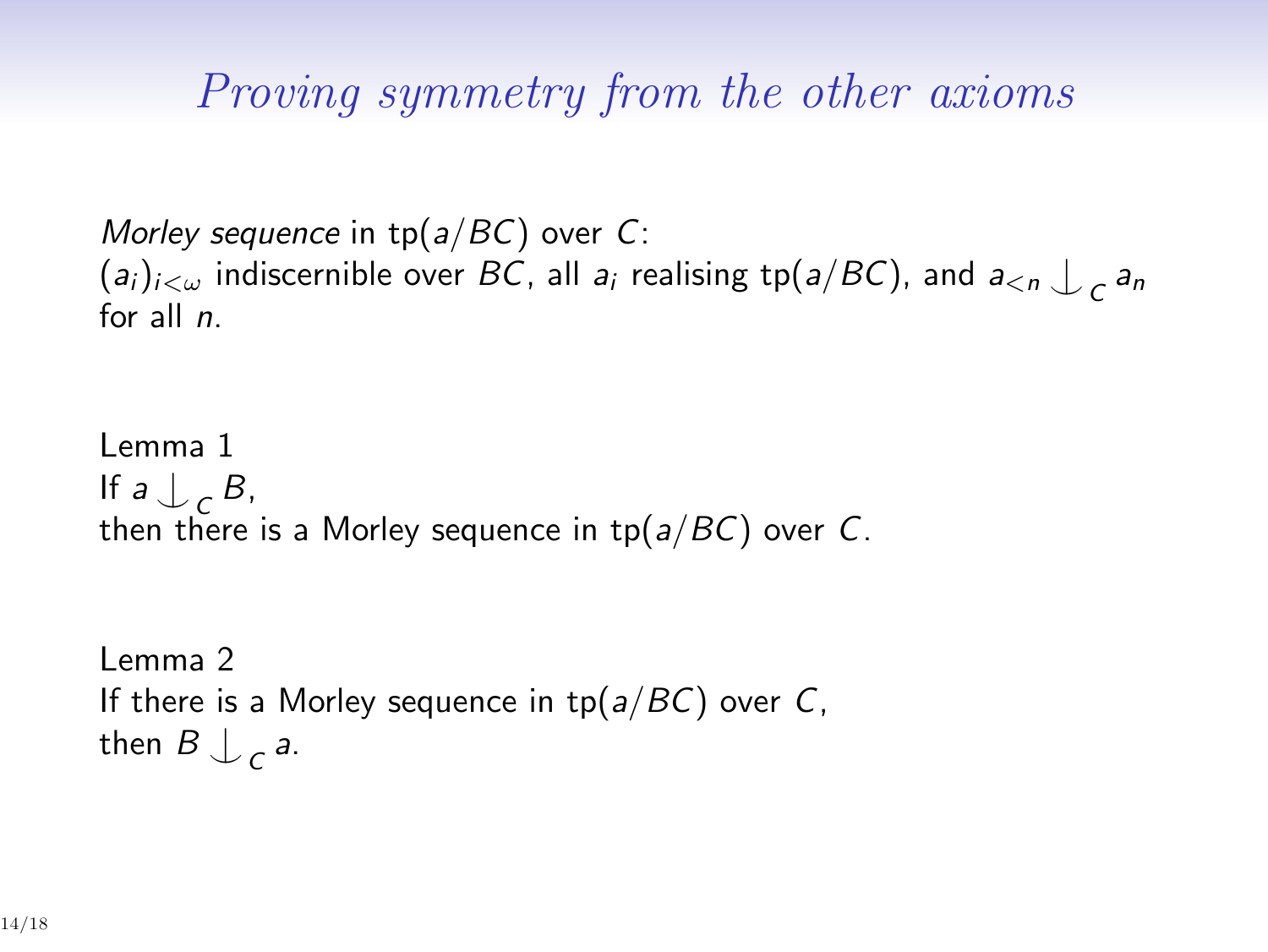*Proving symmetry from the other axioms*

*Morley sequence* in tp(*a/BC*) over *C*:  $(a_i)_{i < \omega}$  indiscernible over  $BC$ , all  $a_i$  realising  $\text{tp}(a/BC)$ , and  $a_{< n} \int_{CB} a_n$ for all *n*.

Lemma 1 If  $a \bigcup_{\mathcal{C}} B$ , *C* then there is a Morley sequence in tp(*a/BC*) over *C*.

```
Lemma 2
If there is a Morley sequence in tp(a/BC) over C,
then B \downarrow c a.
```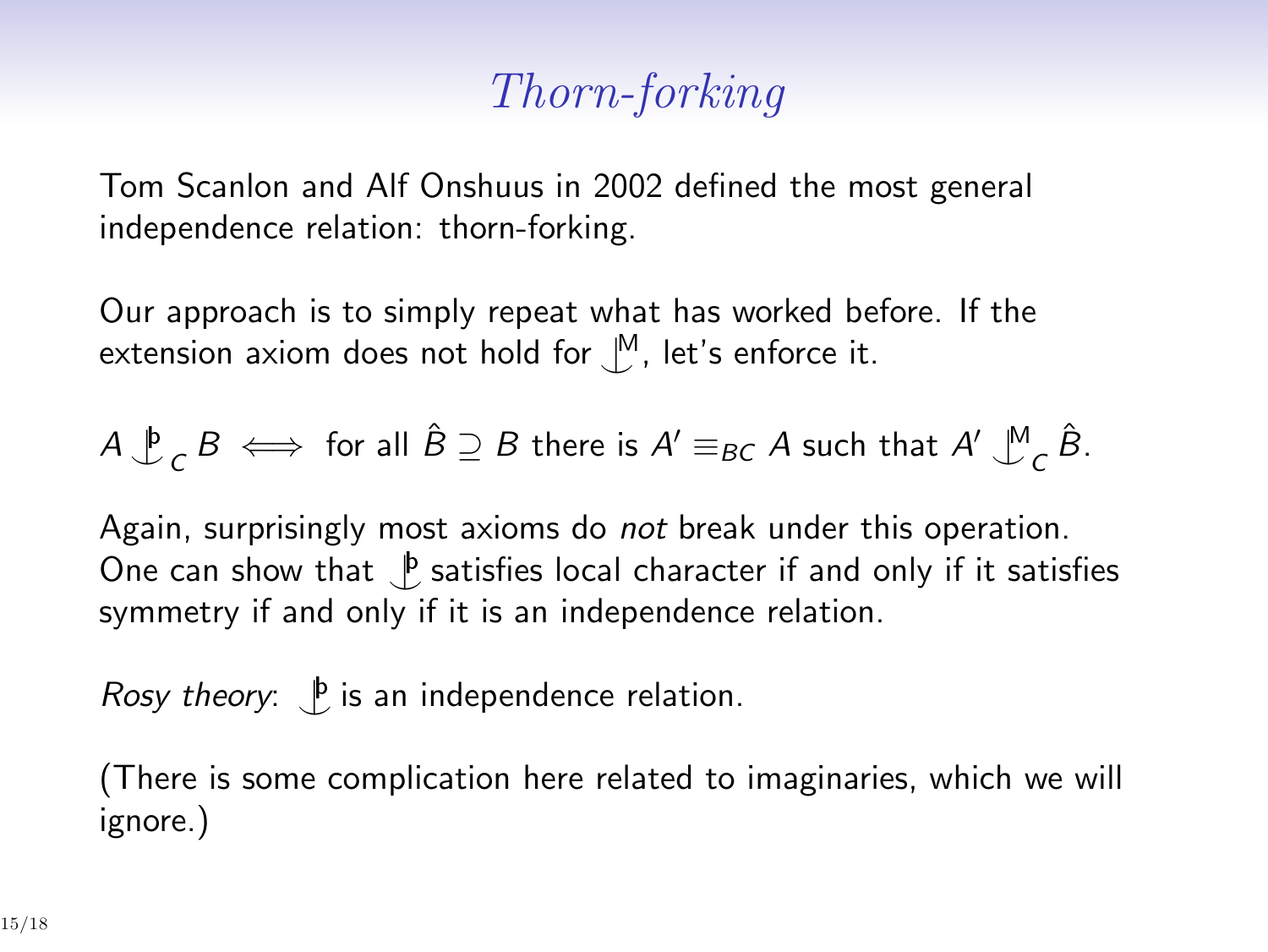## *Thorn-forking*

Tom Scanlon and Alf Onshuus in 2002 defined the most general independence relation: thorn-forking.

Our approach is to simply repeat what has worked before. If the extension axiom does not hold for *^|* <sup>M</sup>, let's enforce it.

$$
A \overset{\mathfrak{b}}{\downarrow} _{C} B \iff \text{for all } \hat{B} \supseteq B \text{ there is } A' \equiv_{BC} A \text{ such that } A' \overset{\mathfrak{M}}{\downarrow} _{C} \hat{B}.
$$

Again, surprisingly most axioms do *not* break under this operation. One can show that  $\bigcup_{i=1}^b$  satisfies local character if and only if it satisfies symmetry if and only if it is an independence relation.

*Rosy theory*:  $\int_{a}^{b}$  is an independence relation.

(There is some complication here related to imaginaries, which we will ignore.)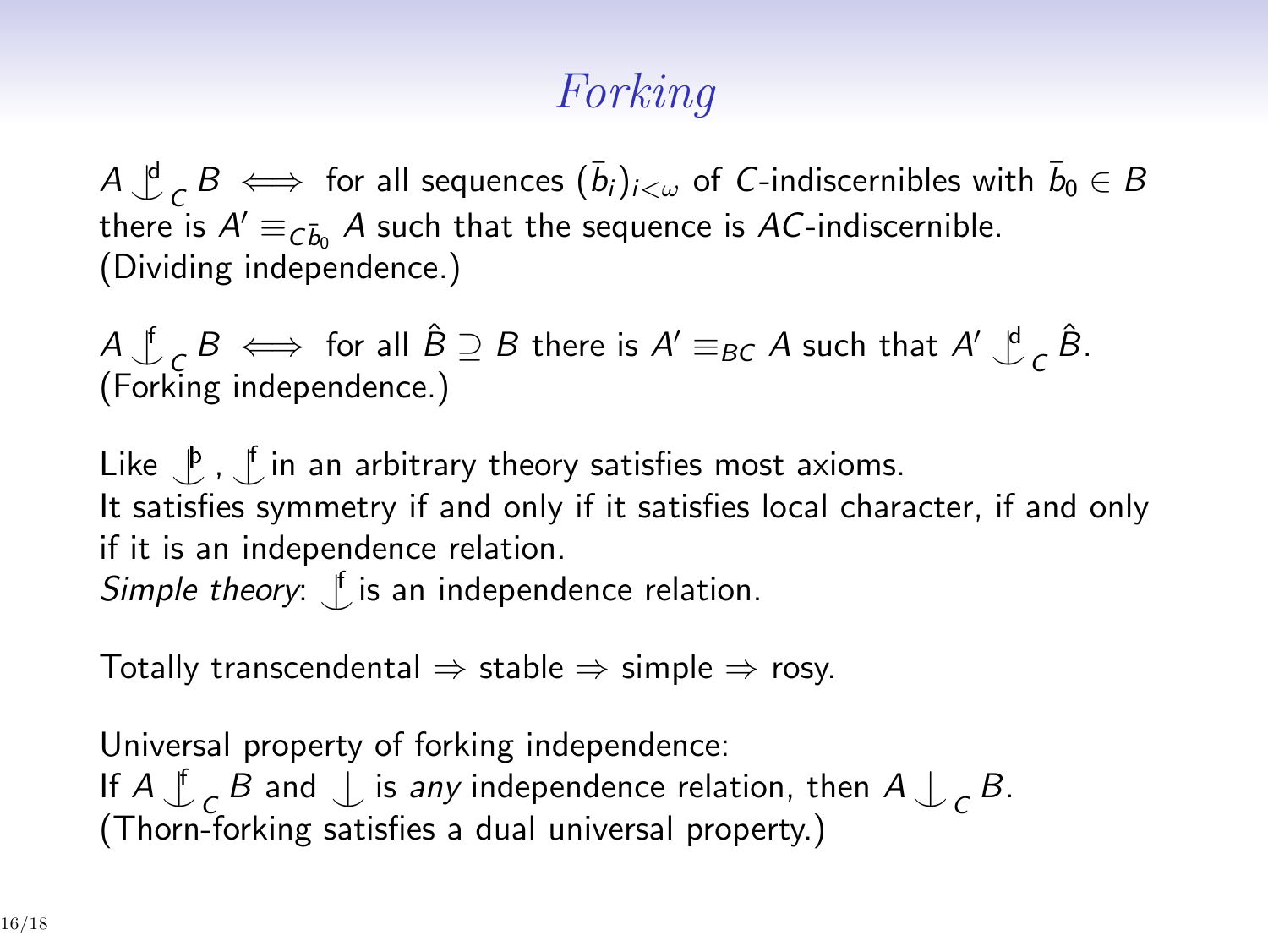# *Forking*

 $A \xrightarrow{d}{}_{C} B \iff$  for all sequences  $(\bar{b}_i)_{i < \omega}$  of *C*-indiscernibles with  $\bar{b}_0 \in B$ there is  $A' \equiv_{\tilde{C}b_0} A$  such that the sequence is *AC*-indiscernible. (Dividing independence.)

*A ^|* f  $\hat{B} \subseteq B$  there is  $A' \equiv_{BC} A$  such that  $A' \downarrow^d$  $c \hat{B}$ . (Forking independence.)

Like  $\bigcup_{i=1}^{\beta}$ ,  $\bigcup_{i=1}^{\beta}$  in an arbitrary theory satisfies most axioms. It satisfies symmetry if and only if it satisfies local character, if and only if it is an independence relation. *Simple theory*: *^|* f is an independence relation.

Totally transcendental *⇒* stable *⇒* simple *⇒* rosy.

Universal property of forking independence: If *A ^|* f  $\mathcal{L}_c$  *B* and  $\mathcal{L}$  is *any* independence relation, then  $A \mathcal{L}_c$  *B*. (Thorn-forking satisfies a dual universal property.)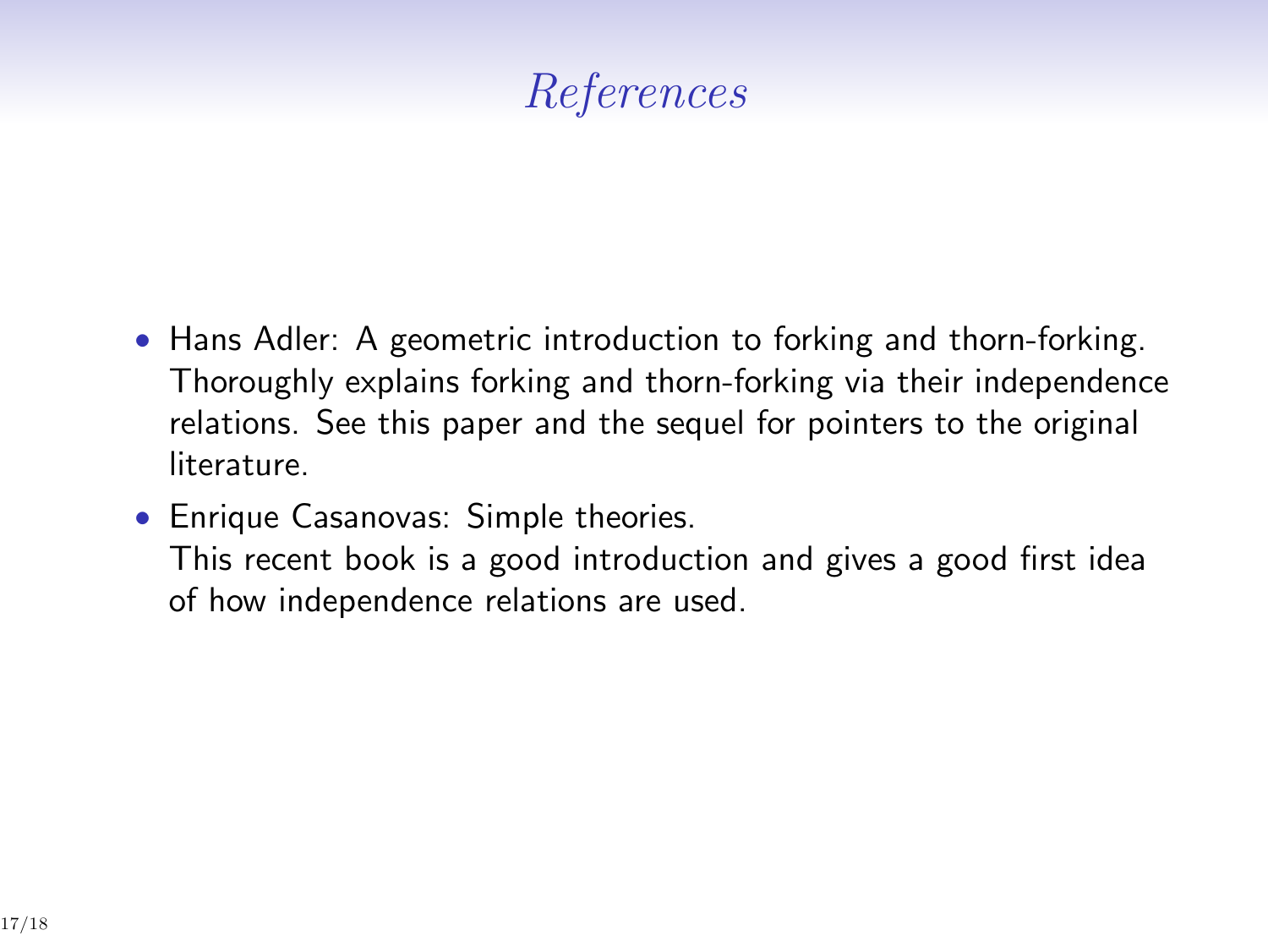# *References*

- *•* Hans Adler: A geometric introduction to forking and thorn-forking. Thoroughly explains forking and thorn-forking via their independence relations. See this paper and the sequel for pointers to the original literature.
- *•* Enrique Casanovas: Simple theories. This recent book is a good introduction and gives a good first idea of how independence relations are used.